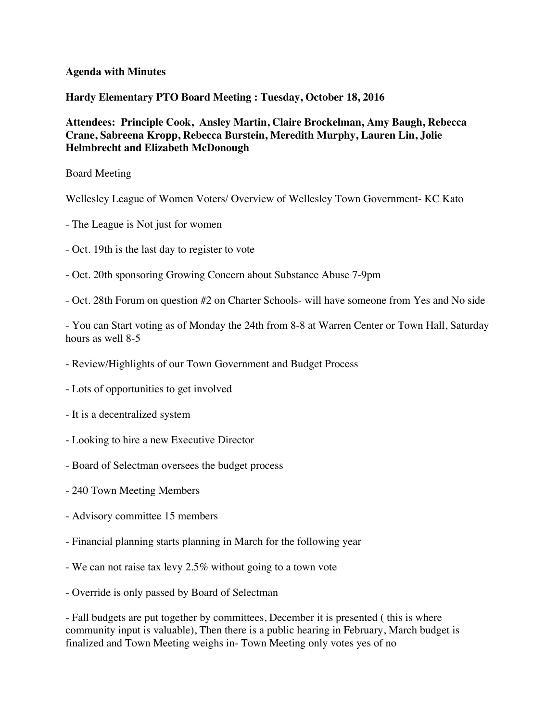## **Agenda with Minutes**

**Hardy Elementary PTO Board Meeting : Tuesday, October 18, 2016** 

**Attendees: Principle Cook, Ansley Martin, Claire Brockelman, Amy Baugh, Rebecca Crane, Sabreena Kropp, Rebecca Burstein, Meredith Murphy, Lauren Lin, Jolie Helmbrecht and Elizabeth McDonough** 

Board Meeting

Wellesley League of Women Voters/ Overview of Wellesley Town Government- KC Kato

- The League is Not just for women
- Oct. 19th is the last day to register to vote
- Oct. 20th sponsoring Growing Concern about Substance Abuse 7-9pm
- Oct. 28th Forum on question #2 on Charter Schools- will have someone from Yes and No side

- You can Start voting as of Monday the 24th from 8-8 at Warren Center or Town Hall, Saturday hours as well 8-5

- Review/Highlights of our Town Government and Budget Process
- Lots of opportunities to get involved
- It is a decentralized system
- Looking to hire a new Executive Director
- Board of Selectman oversees the budget process
- 240 Town Meeting Members
- Advisory committee 15 members
- Financial planning starts planning in March for the following year
- We can not raise tax levy 2.5% without going to a town vote
- Override is only passed by Board of Selectman

- Fall budgets are put together by committees, December it is presented ( this is where community input is valuable), Then there is a public hearing in February, March budget is finalized and Town Meeting weighs in- Town Meeting only votes yes of no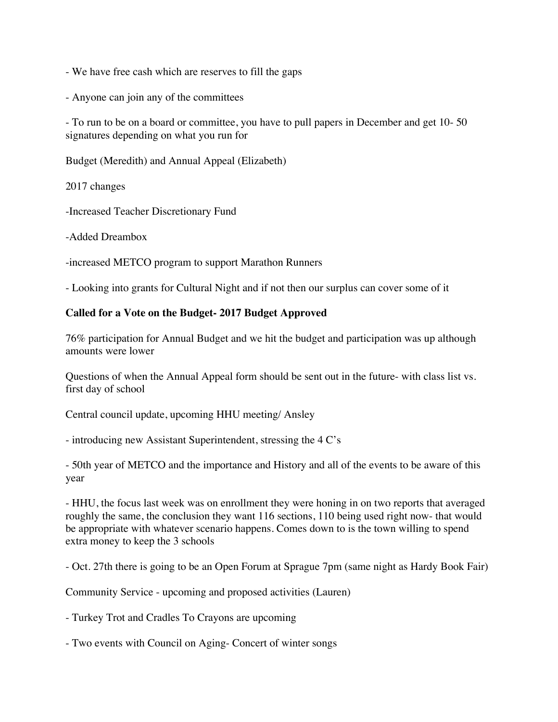- We have free cash which are reserves to fill the gaps
- Anyone can join any of the committees

- To run to be on a board or committee, you have to pull papers in December and get 10- 50 signatures depending on what you run for

Budget (Meredith) and Annual Appeal (Elizabeth)

2017 changes

-Increased Teacher Discretionary Fund

-Added Dreambox

-increased METCO program to support Marathon Runners

- Looking into grants for Cultural Night and if not then our surplus can cover some of it

## **Called for a Vote on the Budget- 2017 Budget Approved**

76% participation for Annual Budget and we hit the budget and participation was up although amounts were lower

Questions of when the Annual Appeal form should be sent out in the future- with class list vs. first day of school

Central council update, upcoming HHU meeting/ Ansley

- introducing new Assistant Superintendent, stressing the 4 C's

- 50th year of METCO and the importance and History and all of the events to be aware of this year

- HHU, the focus last week was on enrollment they were honing in on two reports that averaged roughly the same, the conclusion they want 116 sections, 110 being used right now- that would be appropriate with whatever scenario happens. Comes down to is the town willing to spend extra money to keep the 3 schools

- Oct. 27th there is going to be an Open Forum at Sprague 7pm (same night as Hardy Book Fair)

Community Service - upcoming and proposed activities (Lauren)

- Turkey Trot and Cradles To Crayons are upcoming

- Two events with Council on Aging- Concert of winter songs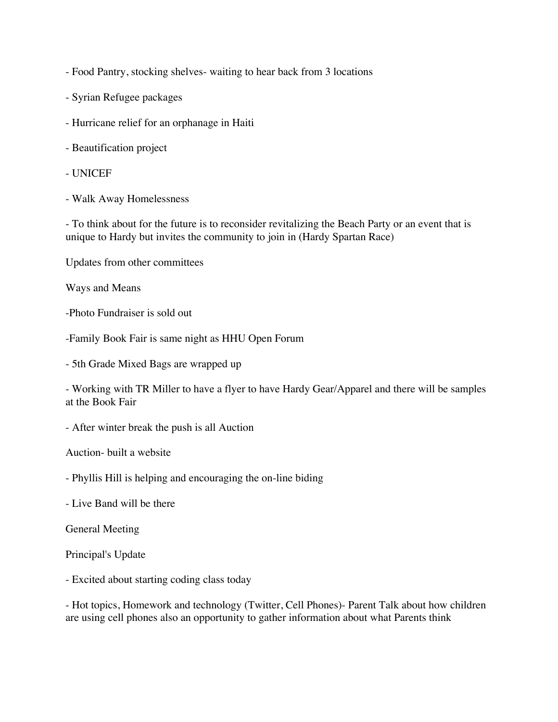- Food Pantry, stocking shelves- waiting to hear back from 3 locations

- Syrian Refugee packages
- Hurricane relief for an orphanage in Haiti
- Beautification project
- UNICEF
- Walk Away Homelessness

- To think about for the future is to reconsider revitalizing the Beach Party or an event that is unique to Hardy but invites the community to join in (Hardy Spartan Race)

Updates from other committees

Ways and Means

-Photo Fundraiser is sold out

-Family Book Fair is same night as HHU Open Forum

- 5th Grade Mixed Bags are wrapped up

- Working with TR Miller to have a flyer to have Hardy Gear/Apparel and there will be samples at the Book Fair

- After winter break the push is all Auction

Auction- built a website

- Phyllis Hill is helping and encouraging the on-line biding

- Live Band will be there

General Meeting

Principal's Update

- Excited about starting coding class today

- Hot topics, Homework and technology (Twitter, Cell Phones)- Parent Talk about how children are using cell phones also an opportunity to gather information about what Parents think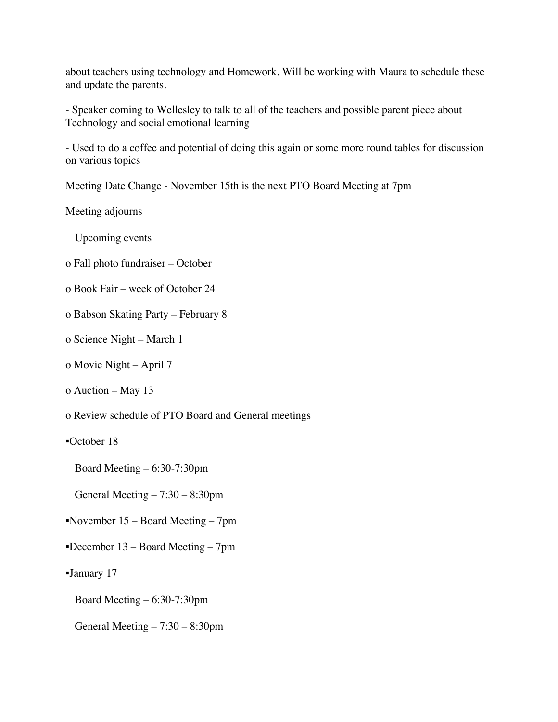about teachers using technology and Homework. Will be working with Maura to schedule these and update the parents.

- Speaker coming to Wellesley to talk to all of the teachers and possible parent piece about Technology and social emotional learning

- Used to do a coffee and potential of doing this again or some more round tables for discussion on various topics

Meeting Date Change - November 15th is the next PTO Board Meeting at 7pm

Meeting adjourns

Upcoming events

- o Fall photo fundraiser October
- o Book Fair week of October 24
- o Babson Skating Party February 8
- o Science Night March 1
- o Movie Night April 7
- o Auction May 13
- o Review schedule of PTO Board and General meetings
- ▪October 18

Board Meeting – 6:30-7:30pm

General Meeting – 7:30 – 8:30pm

- ▪November 15 Board Meeting 7pm
- ▪December 13 Board Meeting 7pm
- ▪January 17
	- Board Meeting 6:30-7:30pm
	- General Meeting 7:30 8:30pm